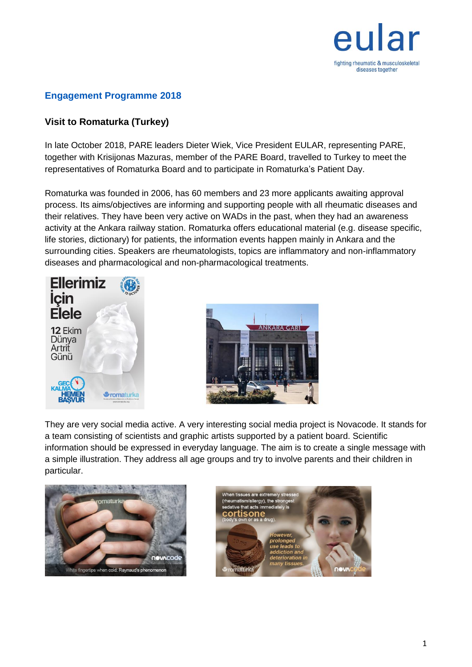

## **Engagement Programme 2018**

## **Visit to Romaturka (Turkey)**

In late October 2018, PARE leaders Dieter Wiek, Vice President EULAR, representing PARE, together with Krisijonas Mazuras, member of the PARE Board, travelled to Turkey to meet the representatives of Romaturka Board and to participate in Romaturka's Patient Day.

Romaturka was founded in 2006, has 60 members and 23 more applicants awaiting approval process. Its aims/objectives are informing and supporting people with all rheumatic diseases and their relatives. They have been very active on WADs in the past, when they had an awareness activity at the Ankara railway station. Romaturka offers educational material (e.g. disease specific, life stories, dictionary) for patients, the information events happen mainly in Ankara and the surrounding cities. Speakers are rheumatologists, topics are inflammatory and non-inflammatory diseases and pharmacological and non-pharmacological treatments.





They are very social media active. A very interesting social media project is Novacode. It stands for a team consisting of scientists and graphic artists supported by a patient board. Scientific information should be expressed in everyday language. The aim is to create a single message with a simple illustration. They address all age groups and try to involve parents and their children in particular.